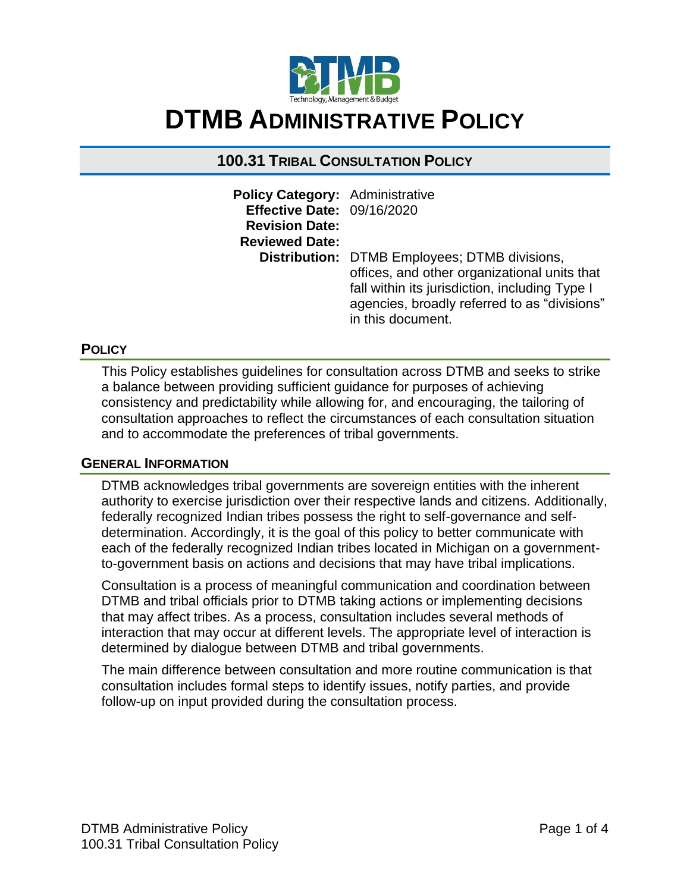

# **DTMB ADMINISTRATIVE POLICY**

# **100.31 TRIBAL CONSULTATION POLICY**

| <b>Policy Category: Administrative</b> |                                                      |
|----------------------------------------|------------------------------------------------------|
| Effective Date: 09/16/2020             |                                                      |
| <b>Revision Date:</b>                  |                                                      |
| <b>Reviewed Date:</b>                  |                                                      |
|                                        | <b>Distribution:</b> DTMB Employees; DTMB divisions, |
|                                        | offices, and other organizational units that         |
|                                        | fall within its jurisdiction, including Type I       |
|                                        | agencies, broadly referred to as "divisions"         |
|                                        | in this document.                                    |

# **POLICY**

This Policy establishes guidelines for consultation across DTMB and seeks to strike a balance between providing sufficient guidance for purposes of achieving consistency and predictability while allowing for, and encouraging, the tailoring of consultation approaches to reflect the circumstances of each consultation situation and to accommodate the preferences of tribal governments.

# **GENERAL INFORMATION**

DTMB acknowledges tribal governments are sovereign entities with the inherent authority to exercise jurisdiction over their respective lands and citizens. Additionally, federally recognized Indian tribes possess the right to self-governance and selfdetermination. Accordingly, it is the goal of this policy to better communicate with each of the federally recognized Indian tribes located in Michigan on a governmentto-government basis on actions and decisions that may have tribal implications.

Consultation is a process of meaningful communication and coordination between DTMB and tribal officials prior to DTMB taking actions or implementing decisions that may affect tribes. As a process, consultation includes several methods of interaction that may occur at different levels. The appropriate level of interaction is determined by dialogue between DTMB and tribal governments.

The main difference between consultation and more routine communication is that consultation includes formal steps to identify issues, notify parties, and provide follow-up on input provided during the consultation process.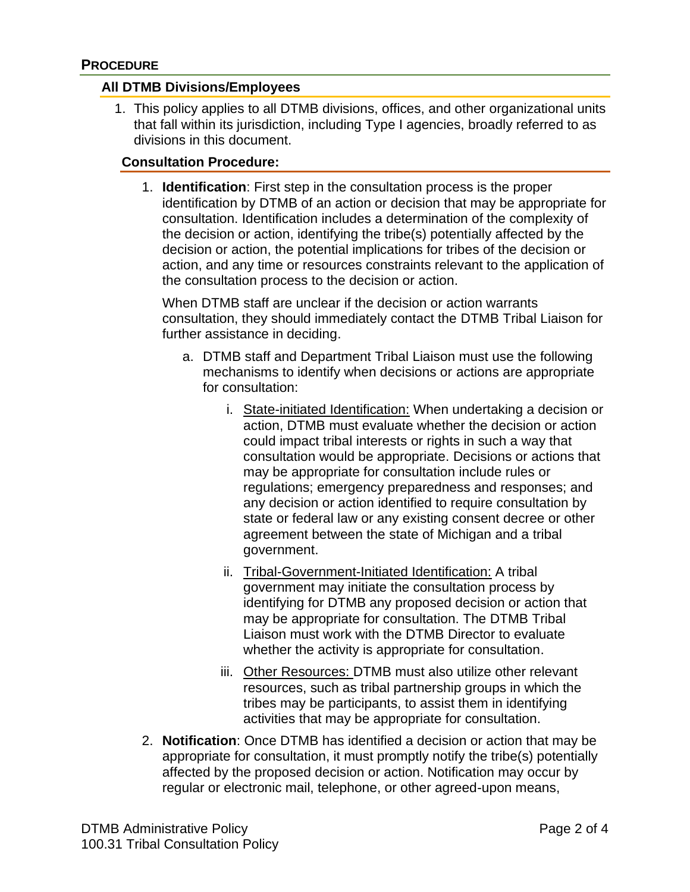# **PROCEDURE**

### **All DTMB Divisions/Employees**

1. This policy applies to all DTMB divisions, offices, and other organizational units that fall within its jurisdiction, including Type I agencies, broadly referred to as divisions in this document.

#### **Consultation Procedure:**

1. **Identification**: First step in the consultation process is the proper identification by DTMB of an action or decision that may be appropriate for consultation. Identification includes a determination of the complexity of the decision or action, identifying the tribe(s) potentially affected by the decision or action, the potential implications for tribes of the decision or action, and any time or resources constraints relevant to the application of the consultation process to the decision or action.

When DTMB staff are unclear if the decision or action warrants consultation, they should immediately contact the DTMB Tribal Liaison for further assistance in deciding.

- a. DTMB staff and Department Tribal Liaison must use the following mechanisms to identify when decisions or actions are appropriate for consultation:
	- i. State-initiated Identification: When undertaking a decision or action, DTMB must evaluate whether the decision or action could impact tribal interests or rights in such a way that consultation would be appropriate. Decisions or actions that may be appropriate for consultation include rules or regulations; emergency preparedness and responses; and any decision or action identified to require consultation by state or federal law or any existing consent decree or other agreement between the state of Michigan and a tribal government.
	- ii. Tribal-Government-Initiated Identification: A tribal government may initiate the consultation process by identifying for DTMB any proposed decision or action that may be appropriate for consultation. The DTMB Tribal Liaison must work with the DTMB Director to evaluate whether the activity is appropriate for consultation.
	- iii. Other Resources: DTMB must also utilize other relevant resources, such as tribal partnership groups in which the tribes may be participants, to assist them in identifying activities that may be appropriate for consultation.
- 2. **Notification**: Once DTMB has identified a decision or action that may be appropriate for consultation, it must promptly notify the tribe(s) potentially affected by the proposed decision or action. Notification may occur by regular or electronic mail, telephone, or other agreed-upon means,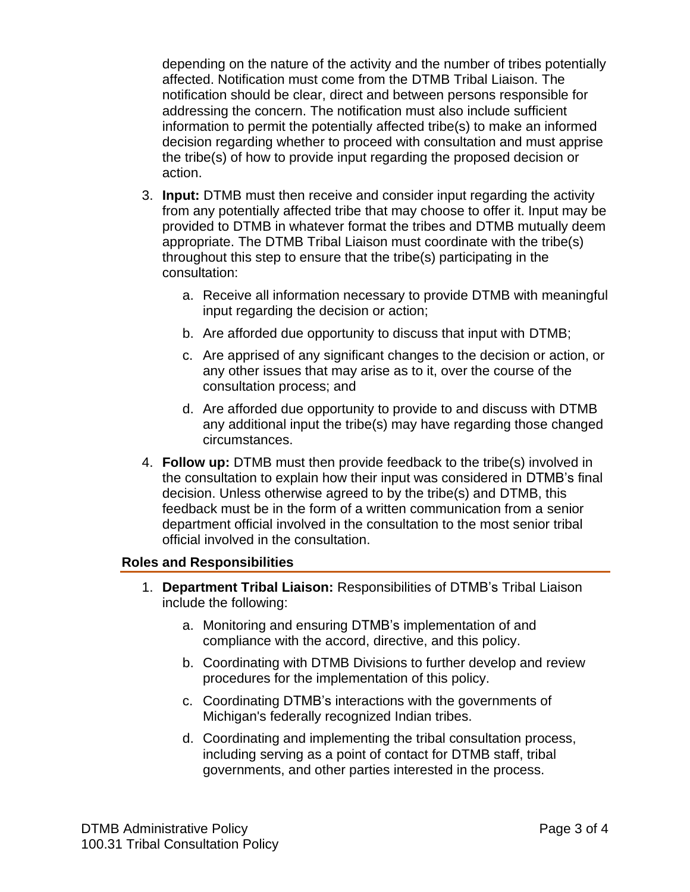depending on the nature of the activity and the number of tribes potentially affected. Notification must come from the DTMB Tribal Liaison. The notification should be clear, direct and between persons responsible for addressing the concern. The notification must also include sufficient information to permit the potentially affected tribe(s) to make an informed decision regarding whether to proceed with consultation and must apprise the tribe(s) of how to provide input regarding the proposed decision or action.

- 3. **Input:** DTMB must then receive and consider input regarding the activity from any potentially affected tribe that may choose to offer it. Input may be provided to DTMB in whatever format the tribes and DTMB mutually deem appropriate. The DTMB Tribal Liaison must coordinate with the tribe(s) throughout this step to ensure that the tribe(s) participating in the consultation:
	- a. Receive all information necessary to provide DTMB with meaningful input regarding the decision or action;
	- b. Are afforded due opportunity to discuss that input with DTMB;
	- c. Are apprised of any significant changes to the decision or action, or any other issues that may arise as to it, over the course of the consultation process; and
	- d. Are afforded due opportunity to provide to and discuss with DTMB any additional input the tribe(s) may have regarding those changed circumstances.
- 4. **Follow up:** DTMB must then provide feedback to the tribe(s) involved in the consultation to explain how their input was considered in DTMB's final decision. Unless otherwise agreed to by the tribe(s) and DTMB, this feedback must be in the form of a written communication from a senior department official involved in the consultation to the most senior tribal official involved in the consultation.

# **Roles and Responsibilities**

- 1. **Department Tribal Liaison:** Responsibilities of DTMB's Tribal Liaison include the following:
	- a. Monitoring and ensuring DTMB's implementation of and compliance with the accord, directive, and this policy.
	- b. Coordinating with DTMB Divisions to further develop and review procedures for the implementation of this policy.
	- c. Coordinating DTMB's interactions with the governments of Michigan's federally recognized Indian tribes.
	- d. Coordinating and implementing the tribal consultation process, including serving as a point of contact for DTMB staff, tribal governments, and other parties interested in the process.